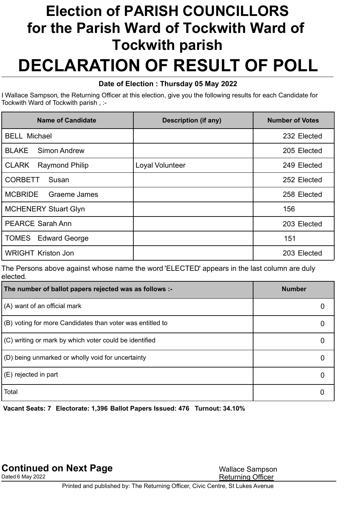## Election of PARISH COUNCILLORS for the Parish Ward of Tockwith Ward of DECLARATION OF RESULT OF POLL Tockwith parish

## Date of Election : Thursday 05 May 2022

 I Wallace Sampson, the Returning Officer at this election, give you the following results for each Candidate for Tockwith Ward of Tockwith parish , :-

| Name of Candidate                     | <b>Description (if any)</b> | <b>Number of Votes</b> |
|---------------------------------------|-----------------------------|------------------------|
| <b>BELL Michael</b>                   |                             | 232 Elected            |
| <b>BLAKE</b><br><b>Simon Andrew</b>   |                             | 205 Elected            |
| <b>CLARK</b><br><b>Raymond Philip</b> | Loyal Volunteer             | 249 Elected            |
| <b>CORBETT</b><br>Susan               |                             | 252 Elected            |
| <b>MCBRIDE</b><br>Graeme James        |                             | 258 Elected            |
| <b>MCHENERY Stuart Glyn</b>           |                             | 156                    |
| <b>PEARCE Sarah Ann</b>               |                             | 203 Elected            |
| <b>TOMES</b> Edward George            |                             | 151                    |
| <b>WRIGHT Kriston Jon</b>             |                             | 203 Elected            |

 The Persons above against whose name the word 'ELECTED' appears in the last column are duly elected.

| The number of ballot papers rejected was as follows :-            | <b>Number</b> |
|-------------------------------------------------------------------|---------------|
| $(A)$ want of an official mark                                    |               |
| $\vert$ (B) voting for more Candidates than voter was entitled to |               |
| $\vert$ (C) writing or mark by which voter could be identified    |               |
| (D) being unmarked or wholly void for uncertainty                 |               |
| $\mathsf{ }$ (E) rejected in part                                 |               |
| Total                                                             |               |

Vacant Seats: 7 Electorate: 1,396 Ballot Papers Issued: 476 Turnout: 34.10%

Dated 6 May 2022 **Returning Officer**